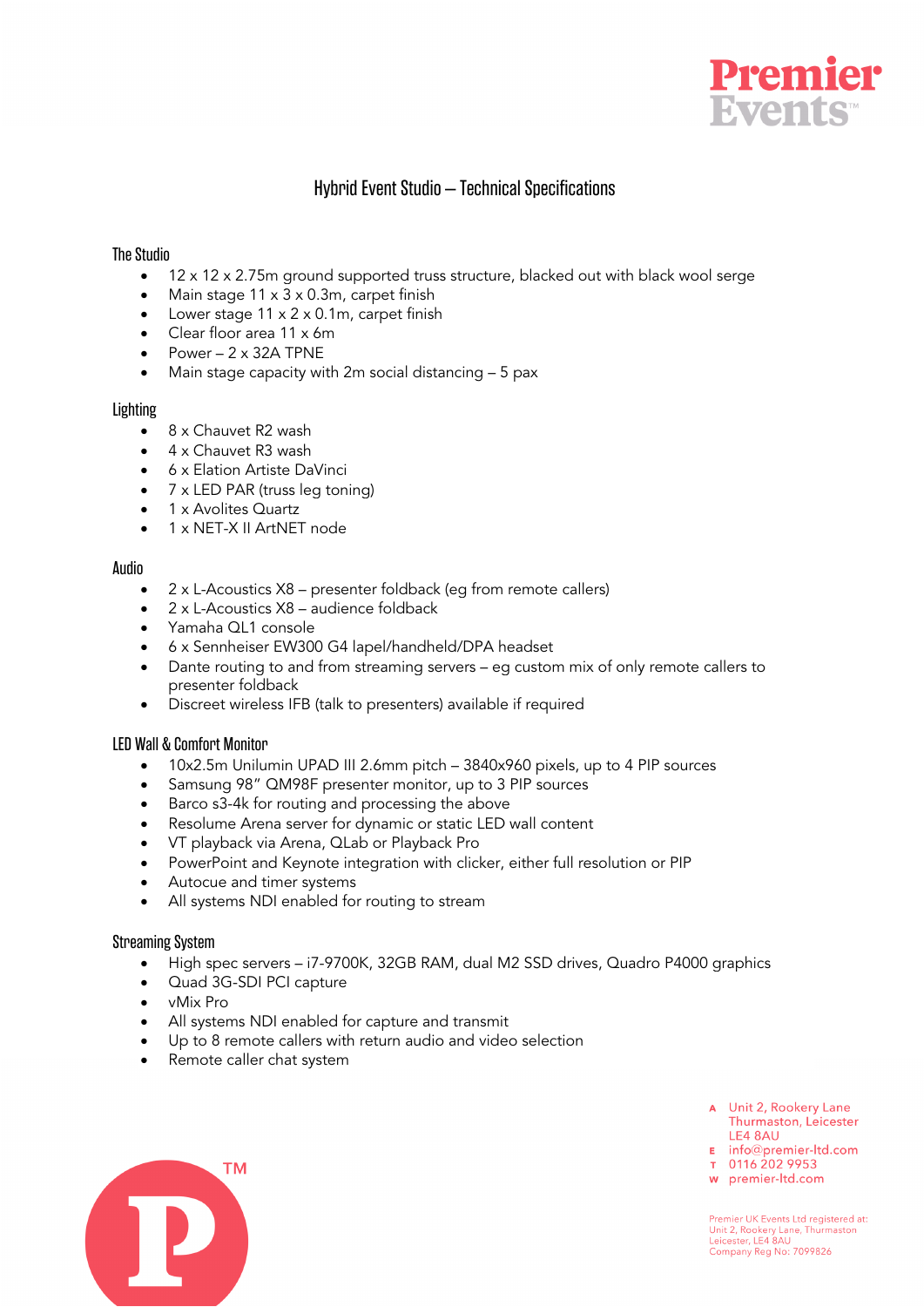

# Hybrid Event Studio – Technical Specifications

#### The Studio

- 12 x 12 x 2.75m ground supported truss structure, blacked out with black wool serge
- Main stage 11 x 3 x 0.3m, carpet finish
- Lower stage 11 x 2 x 0.1m, carpet finish
- Clear floor area 11 x 6m
- Power  $-2 \times 32$ A TPNE
- Main stage capacity with 2m social distancing 5 pax

#### **Lighting**

- 8 x Chauvet R2 wash
- 4 x Chauvet R3 wash
- 6 x Elation Artiste DaVinci
- 7 x LED PAR (truss leg toning)
- 1 x Avolites Quartz
- 1 x NET-X II ArtNET node

## Audio

- 2 x L-Acoustics X8 presenter foldback (eg from remote callers)
- 2 x L-Acoustics X8 audience foldback
- Yamaha QL1 console
- 6 x Sennheiser EW300 G4 lapel/handheld/DPA headset
- Dante routing to and from streaming servers eg custom mix of only remote callers to presenter foldback
- Discreet wireless IFB (talk to presenters) available if required

## LED Wall & Comfort Monitor

- 10x2.5m Unilumin UPAD III 2.6mm pitch 3840x960 pixels, up to 4 PIP sources
- Samsung 98" QM98F presenter monitor, up to 3 PIP sources
- Barco s3-4k for routing and processing the above
- Resolume Arena server for dynamic or static LED wall content
- VT playback via Arena, QLab or Playback Pro
- PowerPoint and Keynote integration with clicker, either full resolution or PIP
- Autocue and timer systems
- All systems NDI enabled for routing to stream

## Streaming System

- High spec servers i7-9700K, 32GB RAM, dual M2 SSD drives, Quadro P4000 graphics
- Quad 3G-SDI PCI capture
- vMix Pro
- All systems NDI enabled for capture and transmit
- Up to 8 remote callers with return audio and video selection
- Remote caller chat system

- A Unit 2, Rookery Lane Thurmaston, Leicester LE4 8AU
- $\overline{P}$  info@premier-ltd.com
- 
- w premier-ltd.com

Premier UK Events Ltd registered at: Unit 2, Rookery Lane, Thurmaston<br>Leicester, LE4 8AU Company Reg No: 7099826